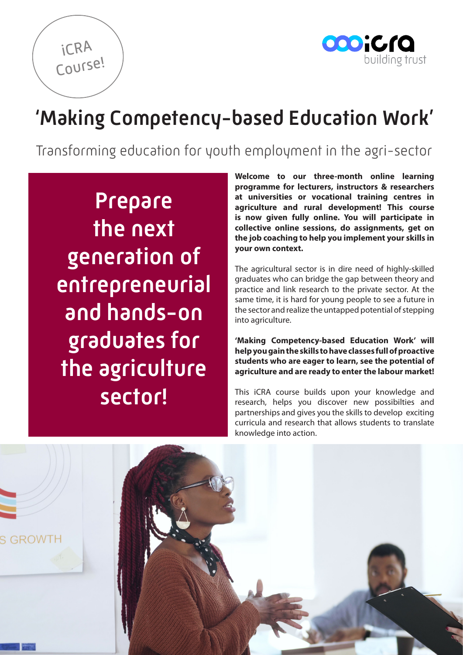

# 'Making Competency-based Education Work'

Transforming education for youth employment in the agri-sector

Prepare the next generation of entrepreneurial and hands-on graduates for the agriculture sector!

iCRA

Course!

**Welcome to our three-month online learning programme for lecturers, instructors & researchers at universities or vocational training centres in agriculture and rural development! This course is now given fully online. You will participate in collective online sessions, do assignments, get on the job coaching to help you implement your skills in your own context.** 

The agricultural sector is in dire need of highly-skilled graduates who can bridge the gap between theory and practice and link research to the private sector. At the same time, it is hard for young people to see a future in the sector and realize the untapped potential of stepping into agriculture.

**'Making Competency-based Education Work' will help you gain the skills to have classes full of proactive students who are eager to learn, see the potential of agriculture and are ready to enter the labour market!**

This iCRA course builds upon your knowledge and research, helps you discover new possibilties and partnerships and gives you the skills to develop exciting curricula and research that allows students to translate knowledge into action.